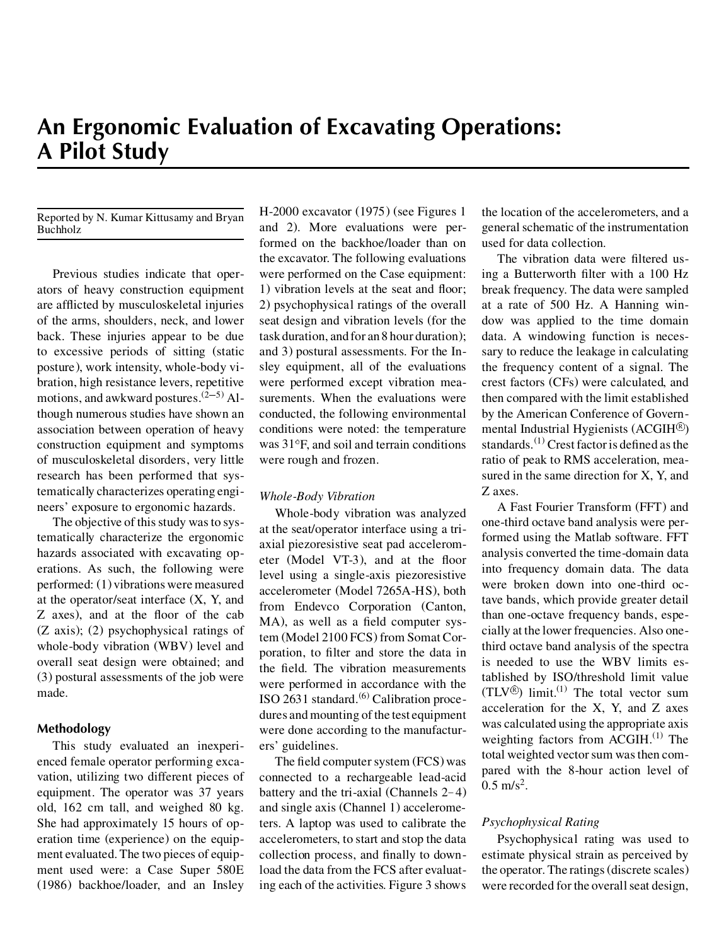#### Reported by N. Kumar Kittusamy and Bryan Buchholz

Previous studies indicate that operators of heavy construction equipment are afflicted by musculoskeletal injuries of the arms, shoulders, neck, and lower back. These injuries appear to be due to excessive periods of sitting (static posture), work intensity, whole-body vibration, high resistance levers, repetitive motions, and awkward postures. $(2-5)$  Although numerous studies have shown an association between operation of heavy construction equipment and symptoms of musculoskeletal disorders, very little research has been performed that systematically characterizes operating engineers' exposure to ergonomic hazards.

The objective of this study was to systematically characterize the ergonomic hazards associated with excavating operations. As such, the following were performed: (1) vibrations were measured at the operator/seat interface (X, Y, and Z axes), and at the floor of the cab (Z axis); (2) psychophysical ratings of whole-body vibration (WBV) level and overall seat design were obtained; and (3) postural assessments of the job were made.

# **Methodology**

This study evaluated an inexperienced female operator performing excavation, utilizing two different pieces of equipment. The operator was 37 years old, 162 cm tall, and weighed 80 kg. She had approximately 15 hours of operation time (experience) on the equipment evaluated. The two pieces of equipment used were: a Case Super 580E (1986) backhoe/loader, and an Insley

H-2000 excavator (1975) (see Figures 1 and 2). More evaluations were performed on the backhoe/loader than on the excavator. The following evaluations were performed on the Case equipment: 1) vibration levels at the seat and floor; 2) psychophysical ratings of the overall seat design and vibration levels (for the task duration, and for an 8 hour duration); and 3) postural assessments. For the Insley equipment, all of the evaluations were performed except vibration measurements. When the evaluations were conducted, the following environmental conditions were noted: the temperature was  $31^\circ$ F, and soil and terrain conditions were rough and frozen.

# *Whole-Body Vibration*

Whole-body vibration was analyzed at the seat/operator interface using a triaxial piezoresistive seat pad accelerometer (Model VT-3), and at the floor level using a single-axis piezoresistive accelerometer (Model 7265A-HS), both from Endevco Corporation (Canton, MA), as well as a field computer system (Model 2100 FCS) from Somat Corporation, to filter and store the data in the field. The vibration measurements were performed in accordance with the ISO 2631 standard. $(6)$  Calibration procedures and mounting of the test equipment were done according to the manufacturers' guidelines.

The field computer system (FCS) was connected to a rechargeable lead-acid battery and the tri-axial (Channels 2– 4) and single axis (Channel 1) accelerometers. A laptop was used to calibrate the accelerometers, to start and stop the data collection process, and finally to download the data from the FCS after evaluating each of the activities. Figure 3 shows

the location of the accelerometers, and a general schematic of the instrumentation used for data collection.

The vibration data were filtered using a Butterworth filter with a 100 Hz break frequency. The data were sampled at a rate of 500 Hz. A Hanning window was applied to the time domain data. A windowing function is necessary to reduce the leakage in calculating the frequency content of a signal. The crest factors (CFs) were calculated, and then compared with the limit established by the American Conference of Governmental Industrial Hygienists (ACGIH<sup>®</sup>) standards.<sup>(1)</sup> Crest factor is defined as the ratio of peak to RMS acceleration, measured in the same direction for X, Y, and Z axes.

A Fast Fourier Transform (FFT) and one-third octave band analysis were performed using the Matlab software. FFT analysis converted the time-domain data into frequency domain data. The data were broken down into one-third octave bands, which provide greater detail than one-octave frequency bands, especially at the lower frequencies. Also onethird octave band analysis of the spectra is needed to use the WBV limits established by ISO/threshold limit value  $(TLV^{\circledR})$  limit.<sup>(1)</sup> The total vector sum acceleration for the X, Y, and Z axes was calculated using the appropriate axis weighting factors from  $ACGIH$ .<sup>(1)</sup> The total weighted vector sum was then compared with the 8-hour action level of  $0.5 \text{ m/s}^2$ .

# *Psychophysical Rating*

Psychophysical rating was used to estimate physical strain as perceived by the operator. The ratings(discrete scales) were recorded for the overall seat design,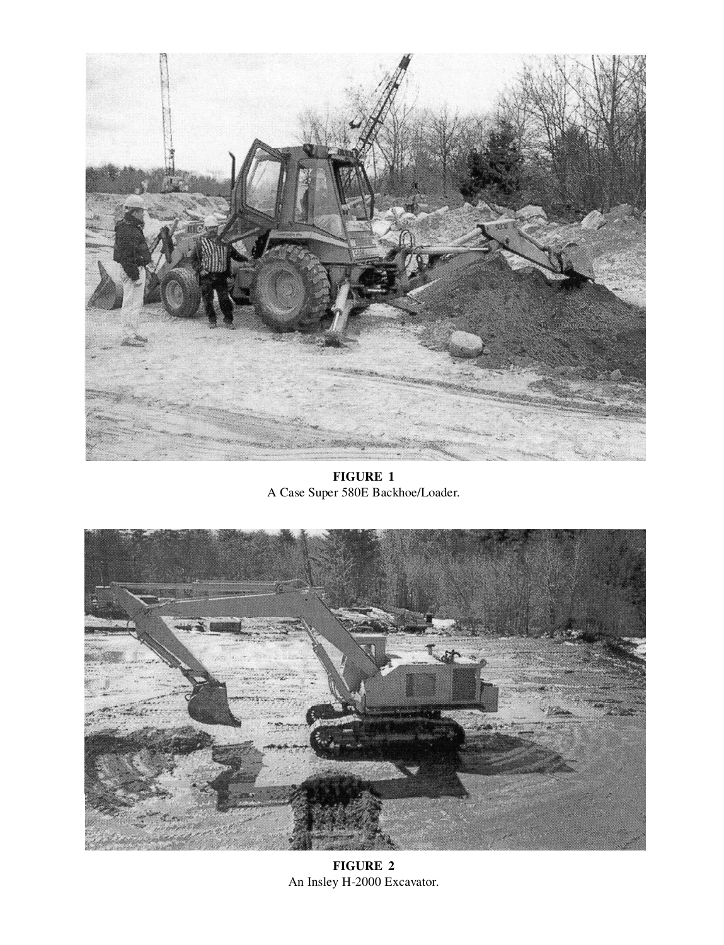

**FIGURE 1**  A Case Super 580E Backhoe/Loader.



**FIGURE 2** An Insley H-2000 Excavator.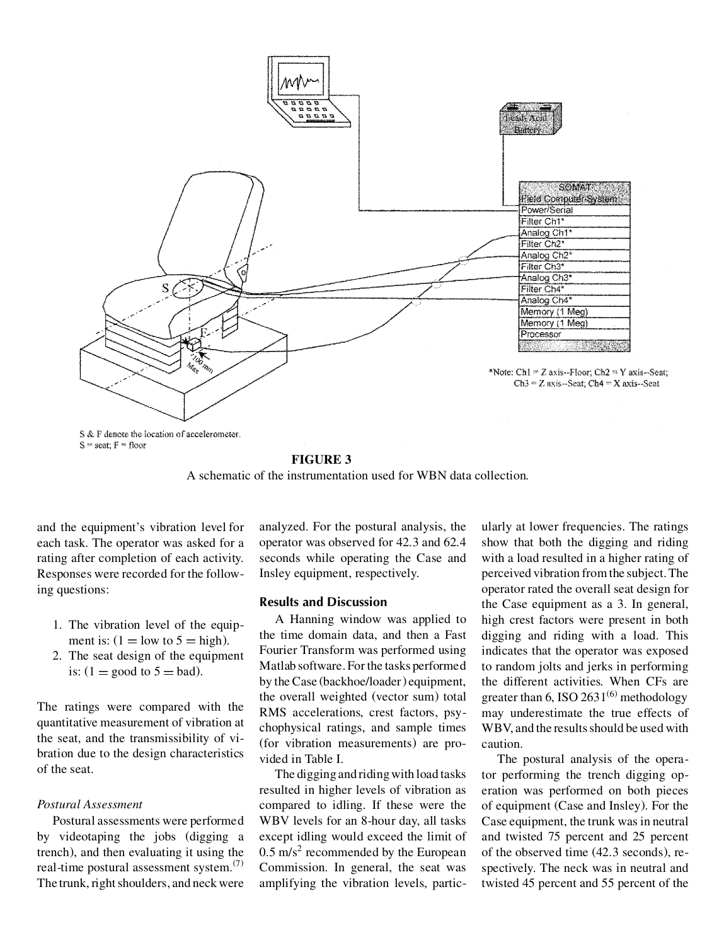

#### **FIGURE 3**

A schematic of the instrumentation used for WBN data collection.

and the equipment's vibration level for each task. The operator was asked for a rating after completion of each activity. Responses were recorded for the following questions:

- 1. The vibration level of the equipment is:  $(1 = \text{low to } 5 = \text{high}).$
- 2. The seat design of the equipment is:  $(1 = \text{good to } 5 = \text{bad}).$

The ratings were compared with the quantitative measurement of vibration at the seat, and the transmissibility of vibration due to the design characteristics of the seat.

### *Postural Assessment*

Postural assessments were performed by videotaping the jobs (digging a trench), and then evaluating it using the real-time postural assessment system.(7) The trunk, right shoulders, and neck were

analyzed. For the postural analysis, the operator was observed for 42.3 and 62.4 seconds while operating the Case and Insley equipment, respectively.

## **Results and Discussion**

A Hanning window was applied to the time domain data, and then a Fast Fourier Transform was performed using Matlab software. For the tasks performed by the Case (backhoe/loader) equipment, the overall weighted (vector sum) total RMS accelerations, crest factors, psychophysical ratings, and sample times (for vibration measurements) are provided in Table I.

The digging and riding with load tasks resulted in higher levels of vibration as compared to idling. If these were the WBV levels for an 8-hour day, all tasks except idling would exceed the limit of  $0.5 \text{ m/s}^2$  recommended by the European Commission. In general, the seat was amplifying the vibration levels, partic-

ularly at lower frequencies. The ratings show that both the digging and riding with a load resulted in a higher rating of perceived vibration from the subject. The operator rated the overall seat design for the Case equipment as a 3. In general, high crest factors were present in both digging and riding with a load. This indicates that the operator was exposed to random jolts and jerks in performing the different activities. When CFs are greater than 6, ISO  $2631^{(6)}$  methodology may underestimate the true effects of WBV, and the results should be used with caution.

The postural analysis of the operator performing the trench digging operation was performed on both pieces of equipment (Case and Insley). For the Case equipment, the trunk was in neutral and twisted 75 percent and 25 percent of the observed time (42.3 seconds), respectively. The neck was in neutral and twisted 45 percent and 55 percent of the